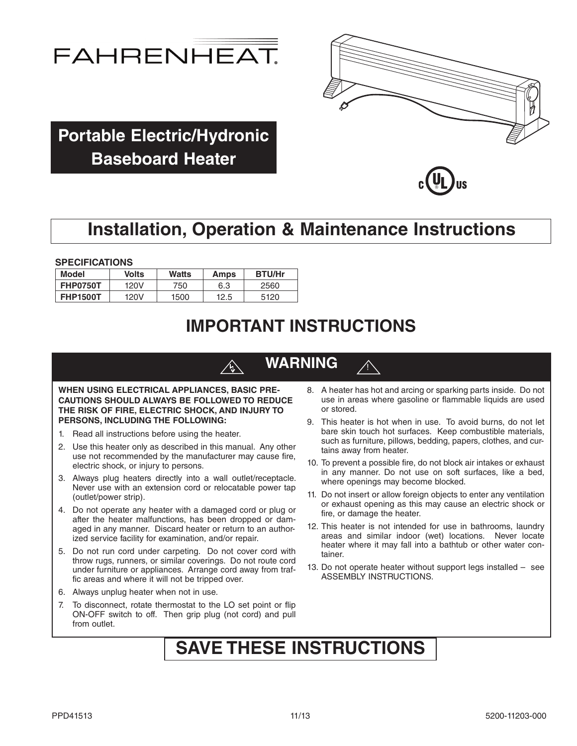



**Portable Electric/Hydronic Baseboard Heater**



## **Installation, Operation & Maintenance Instructions**

**SPECIFICATIONS**

| <b>Model</b>    | <b>Volts</b> | Watts | Amps | <b>BTU/Hr</b> |
|-----------------|--------------|-------|------|---------------|
| <b>FHP0750T</b> | 120V         | 750   | 6.3  | 2560          |
| <b>FHP1500T</b> | 120V         | 1500  | 12.5 | 5120          |

## **IMPORTANT INSTRUCTIONS**

## **WARNING**

!

#### **WHEN USING ELECTRICAL APPLIANCES, BASIC PRE-CAUTIONS SHOULD ALWAYS BE FOLLOWED TO REDUCE THE RISK OF FIRE, ELECTRIC SHOCK, AND INJURY TO PERSONS, INCLUDING THE FOLLOWING:**

- 1. Read all instructions before using the heater.
- 2. Use this heater only as described in this manual. Any other use not recommended by the manufacturer may cause fire, electric shock, or injury to persons.
- 3. Always plug heaters directly into a wall outlet/receptacle. Never use with an extension cord or relocatable power tap (outlet/power strip).
- 4. Do not operate any heater with a damaged cord or plug or after the heater malfunctions, has been dropped or damaged in any manner. Discard heater or return to an authorized service facility for examination, and/or repair.
- 5. Do not run cord under carpeting. Do not cover cord with throw rugs, runners, or similar coverings. Do not route cord under furniture or appliances. Arrange cord away from traffic areas and where it will not be tripped over.
- 6. Always unplug heater when not in use.
- 7. To disconnect, rotate thermostat to the LO set point or flip ON-OFF switch to off. Then grip plug (not cord) and pull from outlet.
- 8. A heater has hot and arcing or sparking parts inside. Do not use in areas where gasoline or flammable liquids are used or stored.
- 9. This heater is hot when in use. To avoid burns, do not let bare skin touch hot surfaces. Keep combustible materials, such as furniture, pillows, bedding, papers, clothes, and curtains away from heater.
- 10. To prevent a possible fire, do not block air intakes or exhaust in any manner. Do not use on soft surfaces, like a bed, where openings may become blocked.
- 11. Do not insert or allow foreign objects to enter any ventilation or exhaust opening as this may cause an electric shock or fire, or damage the heater.
- 12. This heater is not intended for use in bathrooms, laundry areas and similar indoor (wet) locations. Never locate heater where it may fall into a bathtub or other water container.
- 13. Do not operate heater without support legs installed see ASSEMBLY INSTRUCTIONS.

## **SAVE THESE INSTRUCTIONS**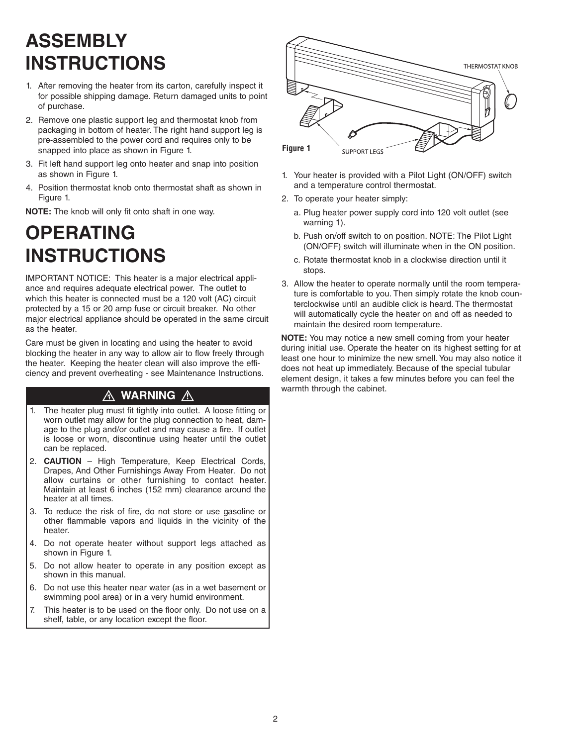# **ASSEMBLY INSTRUCTIONS**

- 1. After removing the heater from its carton, carefully inspect it for possible shipping damage. Return damaged units to point of purchase.
- 2. Remove one plastic support leg and thermostat knob from packaging in bottom of heater. The right hand support leg is pre-assembled to the power cord and requires only to be snapped into place as shown in Figure 1.
- 3. Fit left hand support leg onto heater and snap into position as shown in Figure 1.
- 4. Position thermostat knob onto thermostat shaft as shown in Figure 1.

**NOTE:** The knob will only fit onto shaft in one way.

# **OPERATING INSTRUCTIONS**

IMPORTANT NOTICE: This heater is a major electrical appliance and requires adequate electrical power. The outlet to which this heater is connected must be a 120 volt (AC) circuit protected by a 15 or 20 amp fuse or circuit breaker. No other major electrical appliance should be operated in the same circuit as the heater.

Care must be given in locating and using the heater to avoid blocking the heater in any way to allow air to flow freely through the heater. Keeping the heater clean will also improve the efficiency and prevent overheating - see Maintenance Instructions.

### A WARNING A

- 1. The heater plug must fit tightly into outlet. A loose fitting or worn outlet may allow for the plug connection to heat, damage to the plug and/or outlet and may cause a fire. If outlet is loose or worn, discontinue using heater until the outlet can be replaced.
- 2. **CAUTION** High Temperature, Keep Electrical Cords, Drapes, And Other Furnishings Away From Heater. Do not allow curtains or other furnishing to contact heater. Maintain at least 6 inches (152 mm) clearance around the heater at all times.
- 3. To reduce the risk of fire, do not store or use gasoline or other flammable vapors and liquids in the vicinity of the heater.
- 4. Do not operate heater without support legs attached as shown in Figure 1.
- 5. Do not allow heater to operate in any position except as shown in this manual.
- 6. Do not use this heater near water (as in a wet basement or swimming pool area) or in a very humid environment.
- 7. This heater is to be used on the floor only. Do not use on a shelf, table, or any location except the floor.



- 1. Your heater is provided with a Pilot Light (ON/OFF) switch and a temperature control thermostat.
- 2. To operate your heater simply:
	- a. Plug heater power supply cord into 120 volt outlet (see warning 1).
	- b. Push on/off switch to on position. NOTE: The Pilot Light (ON/OFF) switch will illuminate when in the ON position.
	- c. Rotate thermostat knob in a clockwise direction until it stops.
- 3. Allow the heater to operate normally until the room temperature is comfortable to you. Then simply rotate the knob counterclockwise until an audible click is heard. The thermostat will automatically cycle the heater on and off as needed to maintain the desired room temperature.

**NOTE:** You may notice a new smell coming from your heater during initial use. Operate the heater on its highest setting for at least one hour to minimize the new smell.You may also notice it does not heat up immediately. Because of the special tubular element design, it takes a few minutes before you can feel the warmth through the cabinet.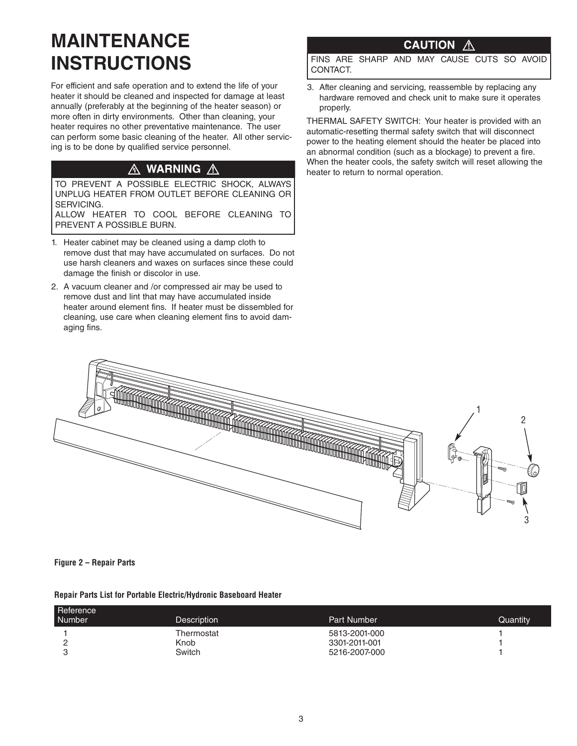# **MAINTENANCE INSTRUCTIONS**

For efficient and safe operation and to extend the life of your heater it should be cleaned and inspected for damage at least annually (preferably at the beginning of the heater season) or more often in dirty environments. Other than cleaning, your heater requires no other preventative maintenance. The user can perform some basic cleaning of the heater. All other servicing is to be done by qualified service personnel.

### △ WARNING △

TO PREVENT A POSSIBLE ELECTRIC SHOCK, ALWAYS UNPLUG HEATER FROM OUTLET BEFORE CLEANING OR SERVICING.

ALLOW HEATER TO COOL BEFORE CLEANING TO PREVENT A POSSIBLE BURN.

- 1. Heater cabinet may be cleaned using a damp cloth to remove dust that may have accumulated on surfaces. Do not use harsh cleaners and waxes on surfaces since these could damage the finish or discolor in use.
- 2. A vacuum cleaner and /or compressed air may be used to remove dust and lint that may have accumulated inside heater around element fins. If heater must be dissembled for cleaning, use care when cleaning element fins to avoid damaging fins.

### **CAUTION**

FINS ARE SHARP AND MAY CAUSE CUTS SO AVOID CONTACT.

3. After cleaning and servicing, reassemble by replacing any hardware removed and check unit to make sure it operates properly.

THERMAL SAFETY SWITCH: Your heater is provided with an automatic-resetting thermal safety switch that will disconnect power to the heating element should the heater be placed into an abnormal condition (such as a blockage) to prevent a fire. When the heater cools, the safety switch will reset allowing the heater to return to normal operation.



### **Figure 2 – Repair Parts**

| Repair Parts List for Portable Electric/Hydronic Baseboard Heater |  |  |  |
|-------------------------------------------------------------------|--|--|--|

| Reference<br><b>Number</b> | <b>Description</b> | Part Number   | Quantity |
|----------------------------|--------------------|---------------|----------|
|                            | Thermostat         | 5813-2001-000 |          |
| -                          | Knob               | 3301-2011-001 |          |
|                            | Switch             | 5216-2007-000 |          |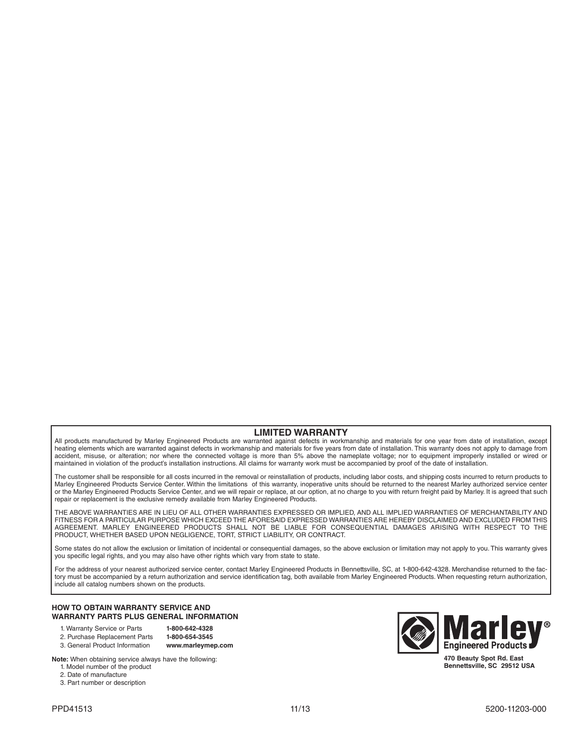### **LIMITED WARRANTY**

All products manufactured by Marley Engineered Products are warranted against defects in workmanship and materials for one year from date of installation, except heating elements which are warranted against defects in workmanship and materials for five years from date of installation. This warranty does not apply to damage from accident, misuse, or alteration; nor where the connected voltage is more than 5% above the nameplate voltage; nor to equipment improperly installed or wired or maintained in violation of the product's installation instructions. All claims for warranty work must be accompanied by proof of the date of installation.

The customer shall be responsible for all costs incurred in the removal or reinstallation of products, including labor costs, and shipping costs incurred to return products to Marley Engineered Products Service Center. Within the limitations of this warranty, inoperative units should be returned to the nearest Marley authorized service center or the Marley Engineered Products Service Center, and we will repair or replace, at our option, at no charge to you with return freight paid by Marley. It is agreed that such repair or replacement is the exclusive remedy available from Marley Engineered Products.

THE ABOVE WARRANTIES ARE IN LIEU OF ALL OTHER WARRANTIES EXPRESSED OR IMPLIED, AND ALL IMPLIED WARRANTIES OF MERCHANTABILITY AND FITNESS FOR A PARTICULAR PURPOSE WHICH EXCEED THE AFORESAID EXPRESSED WARRANTIES ARE HEREBY DISCLAIMED AND EXCLUDED FROM THIS AGREEMENT. MARLEY ENGINEERED PRODUCTS SHALL NOT BE LIABLE FOR CONSEQUENTIAL DAMAGES ARISING WITH RESPECT TO THE PRODUCT, WHETHER BASED UPON NEGLIGENCE, TORT, STRICT LIABILITY, OR CONTRACT.

Some states do not allow the exclusion or limitation of incidental or consequential damages, so the above exclusion or limitation may not apply to you. This warranty gives you specific legal rights, and you may also have other rights which vary from state to state.

For the address of your nearest authorized service center, contact Marley Engineered Products in Bennettsville, SC, at 1-800-642-4328. Merchandise returned to the factory must be accompanied by a return authorization and service identification tag, both available from Marley Engineered Products. When requesting return authorization, include all catalog numbers shown on the products.

#### **HOW TO OBTAIN WARRANTY SERVICE AND WARRANTY PARTS PLUS GENERAL INFORMATION**

- 1. Warranty Service or Parts **1-800-642-4328**
- 2. Purchase Replacement Parts

3. General Product Information **www.marleymep.com**

**Note:** When obtaining service always have the following:

- 1. Model number of the product
- 2. Date of manufacture
- 3. Part number or description



**Bennettsville, SC 29512 USA**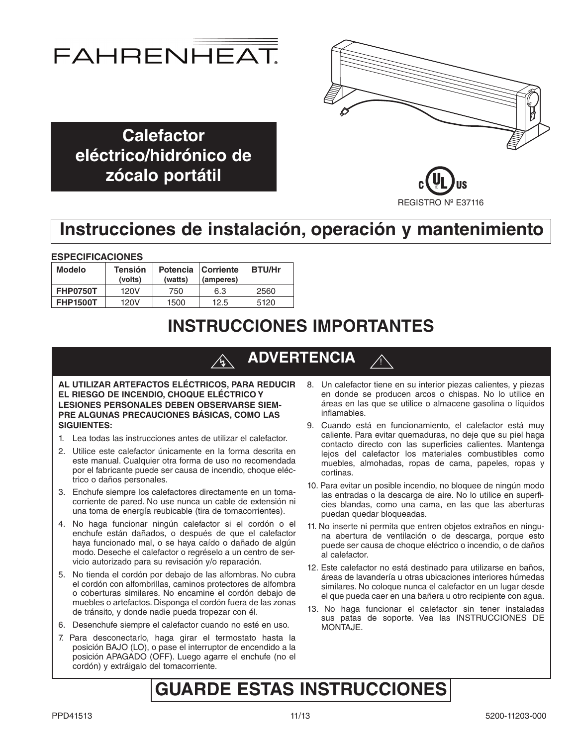



**Calefactor eléctrico/hidrónico de zócalo portátil**



## **Instrucciones de instalación, operación y mantenimiento**

### **ESPECIFICACIONES**

| <b>Modelo</b>   | <b>Tensión</b><br>(volts) | (watts) | Potencia Corriente<br>(amperes) | <b>BTU/Hr</b> |
|-----------------|---------------------------|---------|---------------------------------|---------------|
| <b>FHP0750T</b> | 120V                      | 750     | 6.3                             | 2560          |
| <b>FHP1500T</b> | 120V                      | 1500    | 12.5                            | 5120          |

## **INSTRUCCIONES IMPORTANTES**

#### **ADVERTENCIA**  $\bigwedge$

**AL UTILIZAR ARTEFACTOS ELÉCTRICOS, PARA REDUCIR EL RIESGO DE INCENDIO, CHOQUE ELÉCTRICO Y LESIONES PERSONALES DEBEN OBSERVARSE SIEM-PRE ALGUNAS PRECAUCIONES BÁSICAS, COMO LAS SIGUIENTES:**

- 1. Lea todas las instrucciones antes de utilizar el calefactor.
- 2. Utilice este calefactor únicamente en la forma descrita en este manual. Cualquier otra forma de uso no recomendada por el fabricante puede ser causa de incendio, choque eléctrico o daños personales.
- 3. Enchufe siempre los calefactores directamente en un tomacorriente de pared. No use nunca un cable de extensión ni una toma de energía reubicable (tira de tomacorrientes).
- 4. No haga funcionar ningún calefactor si el cordón o el enchufe están dañados, o después de que el calefactor haya funcionado mal, o se haya caído o dañado de algún modo. Deseche el calefactor o regréselo a un centro de servicio autorizado para su revisación y/o reparación.
- 5. No tienda el cordón por debajo de las alfombras. No cubra el cordón con alfombrillas, caminos protectores de alfombra o coberturas similares. No encamine el cordón debajo de muebles o artefactos. Disponga el cordón fuera de las zonas de tránsito, y donde nadie pueda tropezar con él.
- 6. Desenchufe siempre el calefactor cuando no esté en uso.
- 7. Para desconectarlo, haga girar el termostato hasta la posición BAJO (LO), o pase el interruptor de encendido a la posición APAGADO (OFF). Luego agarre el enchufe (no el cordón) y extráigalo del tomacorriente.

8. Un calefactor tiene en su interior piezas calientes, y piezas en donde se producen arcos o chispas. No lo utilice en áreas en las que se utilice o almacene gasolina o líquidos inflamables.

!<br>!

- 9. Cuando está en funcionamiento, el calefactor está muy caliente. Para evitar quemaduras, no deje que su piel haga contacto directo con las superficies calientes. Mantenga lejos del calefactor los materiales combustibles como muebles, almohadas, ropas de cama, papeles, ropas y cortinas.
- 10. Para evitar un posible incendio, no bloquee de ningún modo las entradas o la descarga de aire. No lo utilice en superficies blandas, como una cama, en las que las aberturas puedan quedar bloqueadas.
- 11. No inserte ni permita que entren objetos extraños en ninguna abertura de ventilación o de descarga, porque esto puede ser causa de choque eléctrico o incendio, o de daños al calefactor.
- 12. Este calefactor no está destinado para utilizarse en baños, áreas de lavandería u otras ubicaciones interiores húmedas similares. No coloque nunca el calefactor en un lugar desde el que pueda caer en una bañera u otro recipiente con agua.
- 13. No haga funcionar el calefactor sin tener instaladas sus patas de soporte. Vea las INSTRUCCIONES DE MONTAJE.

## **GUARDE ESTAS INSTRUCCIONES**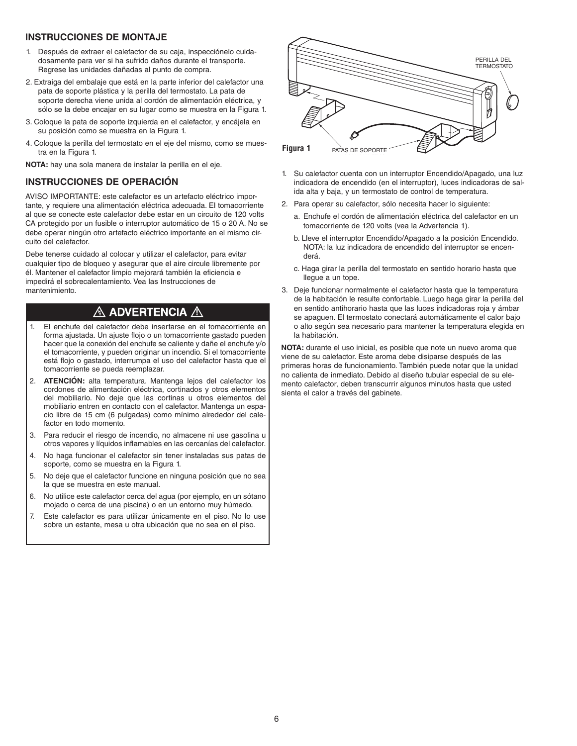### **INSTRUCCIONES DE MONTAJE**

- 1. Después de extraer el calefactor de su caja, inspecciónelo cuidadosamente para ver si ha sufrido daños durante el transporte. Regrese las unidades dañadas al punto de compra.
- 2. Extraiga del embalaje que está en la parte inferior del calefactor una pata de soporte plástica y la perilla del termostato. La pata de soporte derecha viene unida al cordón de alimentación eléctrica, y sólo se la debe encajar en su lugar como se muestra en la Figura 1.
- 3. Coloque la pata de soporte izquierda en el calefactor, y encájela en su posición como se muestra en la Figura 1.
- 4. Coloque la perilla del termostato en el eje del mismo, como se muestra en la Figura 1.

**NOTA:** hay una sola manera de instalar la perilla en el eje.

### **INSTRUCCIONES DE OPERACIÓN**

AVISO IMPORTANTE: este calefactor es un artefacto eléctrico importante, y requiere una alimentación eléctrica adecuada. El tomacorriente al que se conecte este calefactor debe estar en un circuito de 120 volts CA protegido por un fusible o interruptor automático de 15 o 20 A. No se debe operar ningún otro artefacto eléctrico importante en el mismo circuito del calefactor.

Debe tenerse cuidado al colocar y utilizar el calefactor, para evitar cualquier tipo de bloqueo y asegurar que el aire circule libremente por él. Mantener el calefactor limpio mejorará también la eficiencia e impedirá el sobrecalentamiento. Vea las Instrucciones de mantenimiento.

### $\land$  advertencia  $\land$

- 1. El enchufe del calefactor debe insertarse en el tomacorriente en forma ajustada. Un ajuste flojo o un tomacorriente gastado pueden hacer que la conexión del enchufe se caliente y dañe el enchufe y/o el tomacorriente, y pueden originar un incendio. Si el tomacorriente está flojo o gastado, interrumpa el uso del calefactor hasta que el tomacorriente se pueda reemplazar.
- 2. **ATENCIÓN:** alta temperatura. Mantenga lejos del calefactor los cordones de alimentación eléctrica, cortinados y otros elementos del mobiliario. No deje que las cortinas u otros elementos del mobiliario entren en contacto con el calefactor. Mantenga un espacio libre de 15 cm (6 pulgadas) como mínimo alrededor del calefactor en todo momento.
- 3. Para reducir el riesgo de incendio, no almacene ni use gasolina u otros vapores y líquidos inflamables en las cercanías del calefactor.
- 4. No haga funcionar el calefactor sin tener instaladas sus patas de soporte, como se muestra en la Figura 1.
- 5. No deje que el calefactor funcione en ninguna posición que no sea la que se muestra en este manual.
- 6. No utilice este calefactor cerca del agua (por ejemplo, en un sótano mojado o cerca de una piscina) o en un entorno muy húmedo.
- 7. Este calefactor es para utilizar únicamente en el piso. No lo use sobre un estante, mesa u otra ubicación que no sea en el piso.



- 1. Su calefactor cuenta con un interruptor Encendido/Apagado, una luz indicadora de encendido (en el interruptor), luces indicadoras de salida alta y baja, y un termostato de control de temperatura.
- 2. Para operar su calefactor, sólo necesita hacer lo siguiente:
	- a. Enchufe el cordón de alimentación eléctrica del calefactor en un tomacorriente de 120 volts (vea la Advertencia 1).
	- b. Lleve el interruptor Encendido/Apagado a la posición Encendido. NOTA: la luz indicadora de encendido del interruptor se encenderá.
	- c. Haga girar la perilla del termostato en sentido horario hasta que llegue a un tope.
- 3. Deje funcionar normalmente el calefactor hasta que la temperatura de la habitación le resulte confortable. Luego haga girar la perilla del en sentido antihorario hasta que las luces indicadoras roja y ámbar se apaguen. El termostato conectará automáticamente el calor bajo o alto según sea necesario para mantener la temperatura elegida en la habitación.

**NOTA:** durante el uso inicial, es posible que note un nuevo aroma que viene de su calefactor. Este aroma debe disiparse después de las primeras horas de funcionamiento. También puede notar que la unidad no calienta de inmediato. Debido al diseño tubular especial de su elemento calefactor, deben transcurrir algunos minutos hasta que usted sienta el calor a través del gabinete.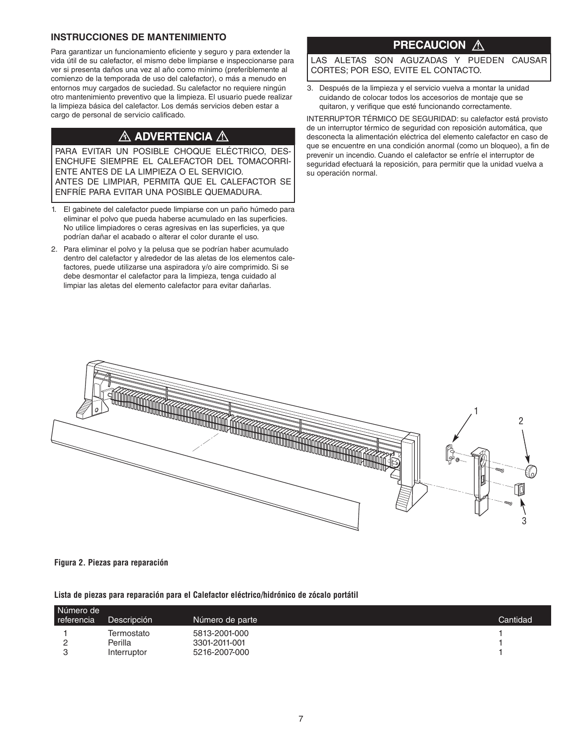### **INSTRUCCIONES DE MANTENIMIENTO**

Para garantizar un funcionamiento eficiente y seguro y para extender la vida útil de su calefactor, el mismo debe limpiarse e inspeccionarse para ver si presenta daños una vez al año como mínimo (preferiblemente al comienzo de la temporada de uso del calefactor), o más a menudo en entornos muy cargados de suciedad. Su calefactor no requiere ningún otro mantenimiento preventivo que la limpieza. El usuario puede realizar la limpieza básica del calefactor. Los demás servicios deben estar a cargo de personal de servicio calificado.

### $\bigtriangleup$  advertencia  $\bigtriangleup$

PARA EVITAR UN POSIBLE CHOQUE ELÉCTRICO, DES-ENCHUFE SIEMPRE EL CALEFACTOR DEL TOMACORRI-ENTE ANTES DE LA LIMPIEZA O EL SERVICIO. ANTES DE LIMPIAR, PERMITA QUE EL CALEFACTOR SE ENFRÍE PARA EVITAR UNA POSIBLE QUEMADURA.

- 1. El gabinete del calefactor puede limpiarse con un paño húmedo para eliminar el polvo que pueda haberse acumulado en las superficies. No utilice limpiadores o ceras agresivas en las superficies, ya que podrían dañar el acabado o alterar el color durante el uso.
- 2. Para eliminar el polvo y la pelusa que se podrían haber acumulado dentro del calefactor y alrededor de las aletas de los elementos calefactores, puede utilizarse una aspiradora y/o aire comprimido. Si se debe desmontar el calefactor para la limpieza, tenga cuidado al limpiar las aletas del elemento calefactor para evitar dañarlas.

### **PRECAUCION A**

LAS ALETAS SON AGUZADAS Y PUEDEN CAUSAR CORTES; POR ESO, EVITE EL CONTACTO.

3. Después de la limpieza y el servicio vuelva a montar la unidad cuidando de colocar todos los accesorios de montaje que se quitaron, y verifique que esté funcionando correctamente.

INTERRUPTOR TÉRMICO DE SEGURIDAD: su calefactor está provisto de un interruptor térmico de seguridad con reposición automática, que desconecta la alimentación eléctrica del elemento calefactor en caso de que se encuentre en una condición anormal (como un bloqueo), a fin de prevenir un incendio. Cuando el calefactor se enfríe el interruptor de seguridad efectuará la reposición, para permitir que la unidad vuelva a su operación normal.



### **Figura 2. Piezas para reparación**

**Lista de piezas para reparación para el Calefactor eléctrico/hidrónico de zócalo portátil**

| Número de<br>referencia | Descripción | Número de parte | Cantidad |
|-------------------------|-------------|-----------------|----------|
|                         | Termostato  | 5813-2001-000   |          |
|                         | Perilla     | 3301-2011-001   |          |
|                         | Interruptor | 5216-2007-000   |          |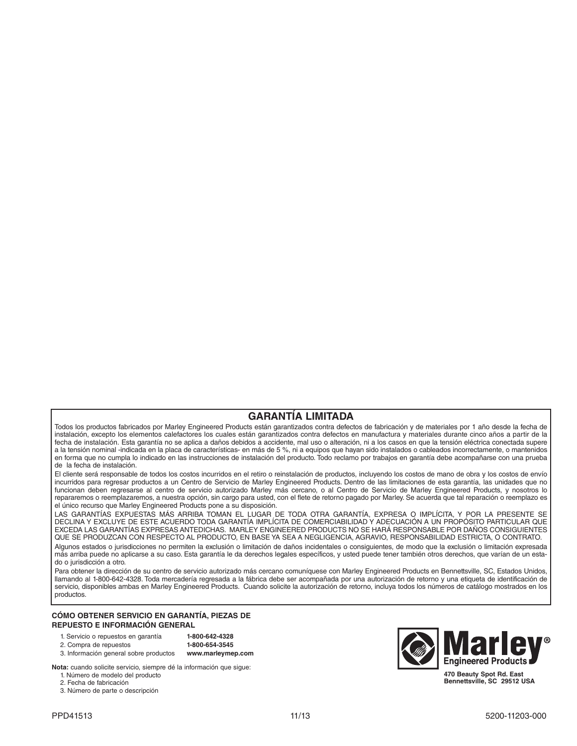### **GARANTÍA LIMITADA**

Todos los productos fabricados por Marley Engineered Products están garantizados contra defectos de fabricación y de materiales por 1 año desde la fecha de instalación, excepto los elementos calefactores los cuales están garantizados contra defectos en manufactura y materiales durante cinco años a partir de la fecha de instalación. Esta garantía no se aplica a daños debidos a accidente, mal uso o alteración, ni a los casos en que la tensión eléctrica conectada supere a la tensión nominal -indicada en la placa de características- en más de 5 %, ni a equipos que hayan sido instalados o cableados incorrectamente, o mantenidos en forma que no cumpla lo indicado en las instrucciones de instalación del producto. Todo reclamo por trabajos en garantía debe acompañarse con una prueba de la fecha de instalación.

El cliente será responsable de todos los costos incurridos en el retiro o reinstalación de productos, incluyendo los costos de mano de obra y los costos de envío incurridos para regresar productos a un Centro de Servicio de Marley Engineered Products. Dentro de las limitaciones de esta garantía, las unidades que no funcionan deben regresarse al centro de servicio autorizado Marley más cercano, o al Centro de Servicio de Marley Engineered Products, y nosotros lo repararemos o reemplazaremos, a nuestra opción, sin cargo para usted, con el flete de retorno pagado por Marley. Se acuerda que tal reparación o reemplazo es el único recurso que Marley Engineered Products pone a su disposición.

LAS GARANTÍAS EXPUESTAS MÁS ARRIBA TOMAN EL LUGAR DE TODA OTRA GARANTÍA, EXPRESA O IMPLÍCITA, Y POR LA PRESENTE SE DECLINA Y EXCLUYE DE ESTE ACUERDO TODA GARANTÍA IMPLÍCITA DE COMERCIABILIDAD Y ADECUACIÓN A UN PROPÓSITO PARTICULAR QUE EXCEDA LAS GARANTÍAS EXPRESAS ANTEDICHAS. MARLEY ENGINEERED PRODUCTS NO SE HARÁ RESPONSABLE POR DAÑOS CONSIGUIENTES QUE SE PRODUZCAN CON RESPECTO AL PRODUCTO, EN BASE YA SEA A NEGLIGENCIA, AGRAVIO, RESPONSABILIDAD ESTRICTA, O CONTRATO. Algunos estados o jurisdicciones no permiten la exclusión o limitación de daños incidentales o consiguientes, de modo que la exclusión o limitación expresada más arriba puede no aplicarse a su caso. Esta garantía le da derechos legales específicos, y usted puede tener también otros derechos, que varían de un estado o jurisdicción a otro.

Para obtener la dirección de su centro de servicio autorizado más cercano comuníquese con Marley Engineered Products en Bennettsville, SC, Estados Unidos, llamando al 1-800-642-4328. Toda mercadería regresada a la fábrica debe ser acompañada por una autorización de retorno y una etiqueta de identificación de servicio, disponibles ambas en Marley Engineered Products. Cuando solicite la autorización de retorno, incluya todos los números de catálogo mostrados en los productos.

#### **CÓMO OBTENER SERVICIO EN GARANTÍA, PIEZAS DE REPUESTO E INFORMACIÓN GENERAL**

| 1. Servicio o repuestos en garantía |  |
|-------------------------------------|--|
| 2. Compra de repuestos              |  |

2. Compra de repuestos **1-800-654-3545** 3. Información general sobre productos **www.marleymep.com**

1. Servicio o repuestos en garantía **1-800-642-4328**

**Nota:** cuando solicite servicio, siempre dé la información que sigue: 1. Número de modelo del producto

2. Fecha de fabricación

3. Número de parte o descripción



**470 Beauty Spot Rd. East Bennettsville, SC 29512 USA**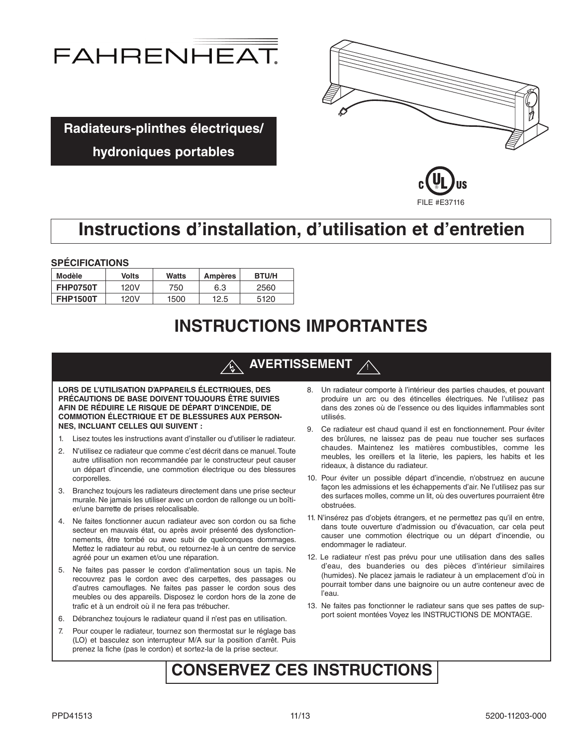



**Radiateurs-plinthes électriques/**

### **hydroniques portables**



## **Instructions d'installation, d'utilisation et d'entretien**

**SPÉCIFICATIONS**

| Modèle          | Volts | Watts | Ampères | <b>BTU/H</b> |
|-----------------|-------|-------|---------|--------------|
| <b>FHP0750T</b> | 120V  | 750   | 6.3     | 2560         |
| <b>FHP1500T</b> | 120V  | 1500  | 12.5    | 5120         |

## **INSTRUCTIONS IMPORTANTES**

#### |<br>| **AVERTISSEMENT**

**LORS DE L'UTILISATION D'APPAREILS ÉLECTRIQUES, DES PRÉCAUTIONS DE BASE DOIVENT TOUJOURS ÊTRE SUIVIES AFIN DE RÉDUIRE LE RISQUE DE DÉPART D'INCENDIE, DE COMMOTION ÉLECTRIQUE ET DE BLESSURES AUX PERSON-NES, INCLUANT CELLES QUI SUIVENT :**

- 1. Lisez toutes les instructions avant d'installer ou d'utiliser le radiateur.
- 2. N'utilisez ce radiateur que comme c'est décrit dans ce manuel.Toute autre utilisation non recommandée par le constructeur peut causer un départ d'incendie, une commotion électrique ou des blessures corporelles.
- 3. Branchez toujours les radiateurs directement dans une prise secteur murale. Ne jamais les utiliser avec un cordon de rallonge ou un boîtier/une barrette de prises relocalisable.
- 4. Ne faites fonctionner aucun radiateur avec son cordon ou sa fiche secteur en mauvais état, ou après avoir présenté des dysfonctionnements, être tombé ou avec subi de quelconques dommages. Mettez le radiateur au rebut, ou retournez-le à un centre de service agréé pour un examen et/ou une réparation.
- 5. Ne faites pas passer le cordon d'alimentation sous un tapis. Ne recouvrez pas le cordon avec des carpettes, des passages ou d'autres camouflages. Ne faites pas passer le cordon sous des meubles ou des appareils. Disposez le cordon hors de la zone de trafic et à un endroit où il ne fera pas trébucher.
- 6. Débranchez toujours le radiateur quand il n'est pas en utilisation.
- 7. Pour couper le radiateur, tournez son thermostat sur le réglage bas (LO) et basculez son interrupteur M/A sur la position d'arrêt. Puis prenez la fiche (pas le cordon) et sortez-la de la prise secteur.
- 8. Un radiateur comporte à l'intérieur des parties chaudes, et pouvant produire un arc ou des étincelles électriques. Ne l'utilisez pas dans des zones où de l'essence ou des liquides inflammables sont utilisés.
- 9. Ce radiateur est chaud quand il est en fonctionnement. Pour éviter des brûlures, ne laissez pas de peau nue toucher ses surfaces chaudes. Maintenez les matières combustibles, comme les meubles, les oreillers et la literie, les papiers, les habits et les rideaux, à distance du radiateur.
- 10. Pour éviter un possible départ d'incendie, n'obstruez en aucune façon les admissions et les échappements d'air. Ne l'utilisez pas sur des surfaces molles, comme un lit, où des ouvertures pourraient être obstruées.
- 11. N'insérez pas d'objets étrangers, et ne permettez pas qu'il en entre, dans toute ouverture d'admission ou d'évacuation, car cela peut causer une commotion électrique ou un départ d'incendie, ou endommager le radiateur.
- 12. Le radiateur n'est pas prévu pour une utilisation dans des salles d'eau, des buanderies ou des pièces d'intérieur similaires (humides). Ne placez jamais le radiateur à un emplacement d'où in pourrait tomber dans une baignoire ou un autre conteneur avec de l'eau.
- 13. Ne faites pas fonctionner le radiateur sans que ses pattes de support soient montées Voyez les INSTRUCTIONS DE MONTAGE.

## **CONSERVEZ CES INSTRUCTIONS**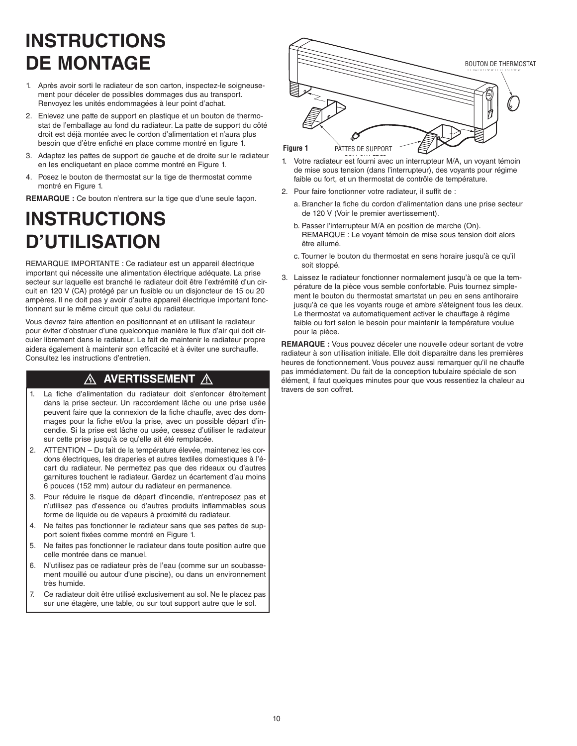# **INSTRUCTIONS DE MONTAGE**

- 1. Après avoir sorti le radiateur de son carton, inspectez-le soigneusement pour déceler de possibles dommages dus au transport. Renvoyez les unités endommagées à leur point d'achat.
- 2. Enlevez une patte de support en plastique et un bouton de thermostat de l'emballage au fond du radiateur. La patte de support du côté droit est déjà montée avec le cordon d'alimentation et n'aura plus besoin que d'être enfiché en place comme montré en figure 1.
- 3. Adaptez les pattes de support de gauche et de droite sur le radiateur en les encliquetant en place comme montré en Figure 1.
- 4. Posez le bouton de thermostat sur la tige de thermostat comme montré en Figure 1.

**REMARQUE :** Ce bouton n'entrera sur la tige que d'une seule façon.

## **INSTRUCTIONS D'UTILISATION**

REMARQUE IMPORTANTE : Ce radiateur est un appareil électrique important qui nécessite une alimentation électrique adéquate. La prise secteur sur laquelle est branché le radiateur doit être l'extrémité d'un circuit en 120 V (CA) protégé par un fusible ou un disjoncteur de 15 ou 20 ampères. Il ne doit pas y avoir d'autre appareil électrique important fonctionnant sur le même circuit que celui du radiateur.

Vous devrez faire attention en positionnant et en utilisant le radiateur pour éviter d'obstruer d'une quelconque manière le flux d'air qui doit circuler librement dans le radiateur. Le fait de maintenir le radiateur propre aidera également à maintenir son efficacité et à éviter une surchauffe. Consultez les instructions d'entretien.

### $\wedge$  avertissement  $\wedge$

- 1. La fiche d'alimentation du radiateur doit s'enfoncer étroitement travers de son coffret. dans la prise secteur. Un raccordement lâche ou une prise usée peuvent faire que la connexion de la fiche chauffe, avec des dommages pour la fiche et/ou la prise, avec un possible départ d'incendie. Si la prise est lâche ou usée, cessez d'utiliser le radiateur sur cette prise jusqu'à ce qu'elle ait été remplacée.
- 2. ATTENTION Du fait de la température élevée, maintenez les cordons électriques, les draperies et autres textiles domestiques à l'écart du radiateur. Ne permettez pas que des rideaux ou d'autres garnitures touchent le radiateur. Gardez un écartement d'au moins 6 pouces (152 mm) autour du radiateur en permanence.
- 3. Pour réduire le risque de départ d'incendie, n'entreposez pas et n'utilisez pas d'essence ou d'autres produits inflammables sous forme de liquide ou de vapeurs à proximité du radiateur.
- 4. Ne faites pas fonctionner le radiateur sans que ses pattes de support soient fixées comme montré en Figure 1.
- 5. Ne faites pas fonctionner le radiateur dans toute position autre que celle montrée dans ce manuel.
- 6. N'utilisez pas ce radiateur près de l'eau (comme sur un soubassement mouillé ou autour d'une piscine), ou dans un environnement très humide.
- 7. Ce radiateur doit être utilisé exclusivement au sol. Ne le placez pas sur une étagère, une table, ou sur tout support autre que le sol.



- 1. Votre radiateur est fourni avec un interrupteur M/A, un voyant témoin de mise sous tension (dans l'interrupteur), des voyants pour régime faible ou fort, et un thermostat de contrôle de température.
- 2. Pour faire fonctionner votre radiateur, il suffit de :
	- a. Brancher la fiche du cordon d'alimentation dans une prise secteur de 120 V (Voir le premier avertissement).
	- b. Passer l'interrupteur M/A en position de marche (On). REMARQUE : Le voyant témoin de mise sous tension doit alors être allumé.
	- c. Tourner le bouton du thermostat en sens horaire jusqu'à ce qu'il soit stoppé.
- 3. Laissez le radiateur fonctionner normalement jusqu'à ce que la température de la pièce vous semble confortable. Puis tournez simplement le bouton du thermostat smartstat un peu en sens antihoraire jusqu'à ce que les voyants rouge et ambre s'éteignent tous les deux. Le thermostat va automatiquement activer le chauffage à régime faible ou fort selon le besoin pour maintenir la température voulue pour la pièce.

**REMARQUE :** Vous pouvez déceler une nouvelle odeur sortant de votre radiateur à son utilisation initiale. Elle doit disparaitre dans les premières heures de fonctionnement. Vous pouvez aussi remarquer qu'il ne chauffe pas immédiatement. Du fait de la conception tubulaire spéciale de son élément, il faut quelques minutes pour que vous ressentiez la chaleur au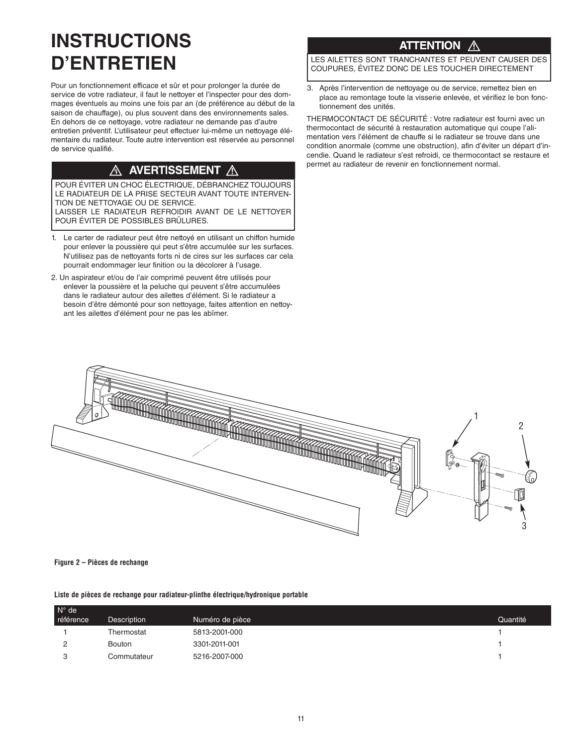# **INSTRUCTIONS D'ENTRETIEN**

Pour un fonctionnement efficace et sûr et pour prolonger la durée de service de votre radiateur, il faut le nettoyer et l'inspecter pour des dommages éventuels au moins une fois par an (de préférence au début de la saison de chauffage), ou plus souvent dans des environnements sales. En dehors de ce nettoyage, votre radiateur ne demande pas d'autre entretien préventif. L'utilisateur peut effectuer lui-même un nettoyage élémentaire du radiateur. Toute autre intervention est réservée au personnel de service qualifié.

### $\overline{\mathbb{A}}$  avertissement  $\overline{\mathbb{A}}$

POUR ÉVITER UN CHOC ÉLECTRIQUE, DÉBRANCHEZ TOUJOURS LE RADIATEUR DE LA PRISE SECTEUR AVANT TOUTE INTERVEN-TION DE NETTOYAGE OU DE SERVICE. LAISSER LE RADIATEUR REFROIDIR AVANT DE LE NETTOYER POUR ÉVITER DE POSSIBLES BRÛLURES.

- 1. Le carter de radiateur peut être nettoyé en utilisant un chiffon humide pour enlever la poussière qui peut s'être accumulée sur les surfaces. N'utilisez pas de nettoyants forts ni de cires sur les surfaces car cela pourrait endommager leur finition ou la décolorer à l'usage.
- 2. Un aspirateur et/ou de l'air comprimé peuvent être utilisés pour enlever la poussière et la peluche qui peuvent s'être accumulées dans le radiateur autour des ailettes d'élément. Si le radiateur a besoin d'être démonté pour son nettoyage, faites attention en nettoyant les ailettes d'élément pour ne pas les abîmer.

### **ATTENTION**

LES AILETTES SONT TRANCHANTES ET PEUVENT CAUSER DES COUPURES, ÉVITEZ DONC DE LES TOUCHER DIRECTEMENT

3. Après l'intervention de nettoyage ou de service, remettez bien en place au remontage toute la visserie enlevée, et vérifiez le bon fonctionnement des unités.

THERMOCONTACT DE SÉCURITÉ : Votre radiateur est fourni avec un thermocontact de sécurité à restauration automatique qui coupe l'alimentation vers l'élément de chauffe si le radiateur se trouve dans une condition anormale (comme une obstruction), afin d'éviter un départ d'incendie. Quand le radiateur s'est refroidi, ce thermocontact se restaure et permet au radiateur de revenir en fonctionnement normal.



#### **Figure 2 – Pièces de rechange**

### **Liste de pièces de rechange pour radiateur-plinthe électrique/hydronique portable**

| $N^{\circ}$ de |               |                 |          |
|----------------|---------------|-----------------|----------|
| référence      | Description   | Numéro de pièce | Quantité |
|                | Thermostat    | 5813-2001-000   |          |
|                | <b>Bouton</b> | 3301-2011-001   |          |
| ◠              | Commutateur   | 5216-2007-000   |          |